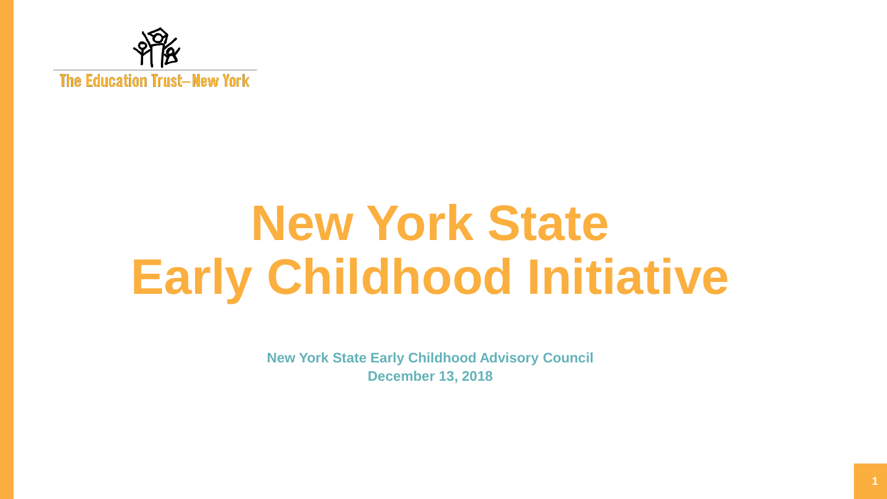

# **New York State Early Childhood Initiative**

**New York State Early Childhood Advisory Council December 13, 2018**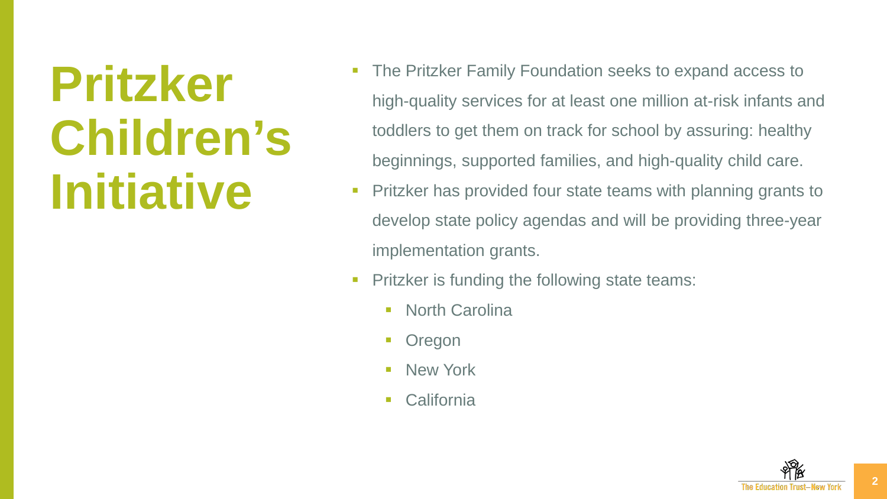## **Pritzker Children's Initiative**

- The Pritzker Family Foundation seeks to expand access to high-quality services for at least one million at-risk infants and toddlers to get them on track for school by assuring: healthy beginnings, supported families, and high-quality child care.
- Pritzker has provided four state teams with planning grants to develop state policy agendas and will be providing three-year implementation grants.
- **Pritzker is funding the following state teams:** 
	- North Carolina
	- **Oregon**
	- **New York**
	- **California**

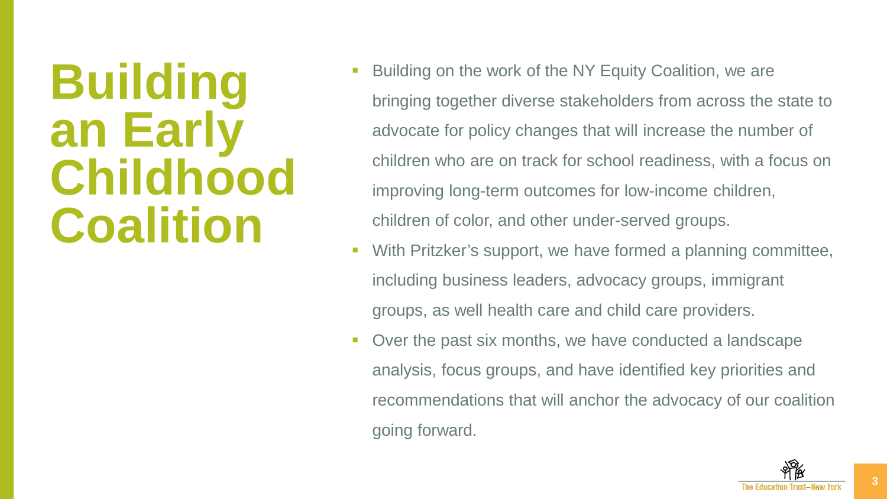### **Building an Early Childhood Coalition**

- Building on the work of the NY Equity Coalition, we are bringing together diverse stakeholders from across the state to advocate for policy changes that will increase the number of children who are on track for school readiness, with a focus on improving long-term outcomes for low-income children, children of color, and other under-served groups.
- With Pritzker's support, we have formed a planning committee, including business leaders, advocacy groups, immigrant groups, as well health care and child care providers.
- Over the past six months, we have conducted a landscape analysis, focus groups, and have identified key priorities and recommendations that will anchor the advocacy of our coalition going forward.

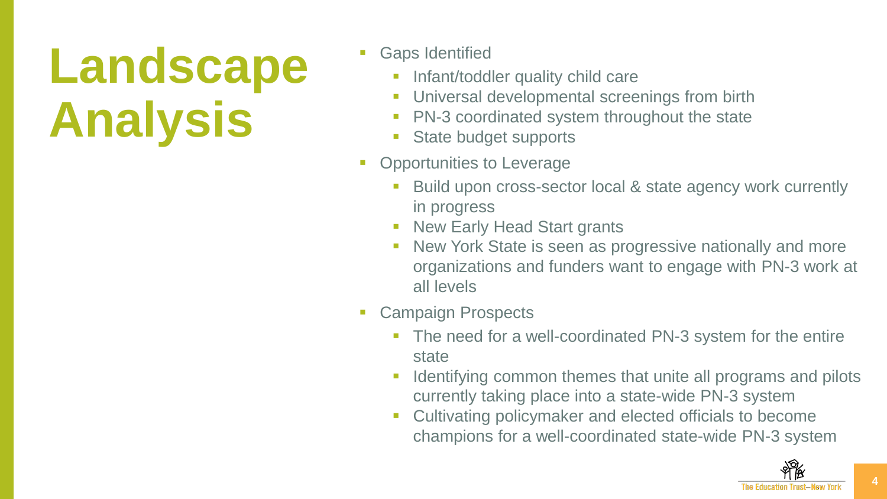## **Landscape Analysis**

- Gaps Identified
	- Infant/toddler quality child care
	- **Universal developmental screenings from birth**
	- PN-3 coordinated system throughout the state
	- **State budget supports**
- Opportunities to Leverage
	- Build upon cross-sector local & state agency work currently in progress
	- New Early Head Start grants
	- **New York State is seen as progressive nationally and more** organizations and funders want to engage with PN-3 work at all levels
- Campaign Prospects
	- **The need for a well-coordinated PN-3 system for the entire** state
	- Identifying common themes that unite all programs and pilots currently taking place into a state-wide PN-3 system
	- **Cultivating policymaker and elected officials to become** champions for a well-coordinated state-wide PN-3 system

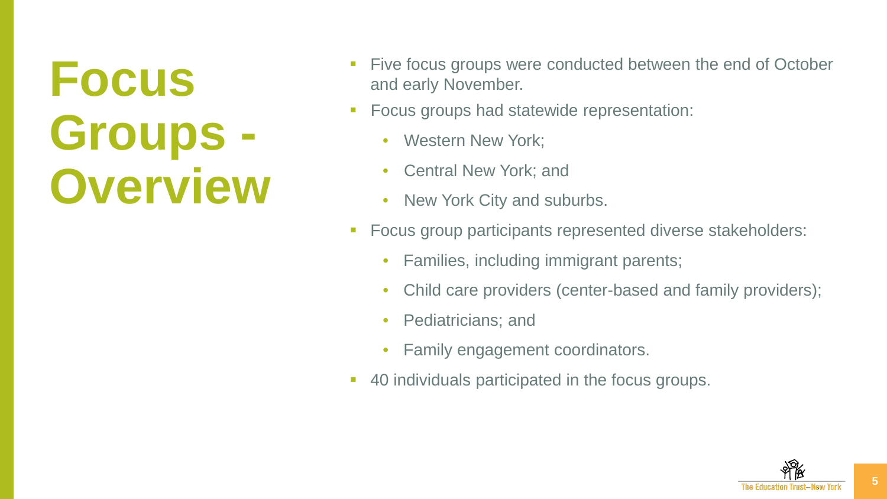## **Focus Groups - Overview**

- Five focus groups were conducted between the end of October and early November.
- **Focus groups had statewide representation:** 
	- Western New York;
	- Central New York; and
	- New York City and suburbs.
- **Focus group participants represented diverse stakeholders:** 
	- Families, including immigrant parents;
	- Child care providers (center-based and family providers);
	- Pediatricians; and
	- Family engagement coordinators.
- **40 individuals participated in the focus groups.**

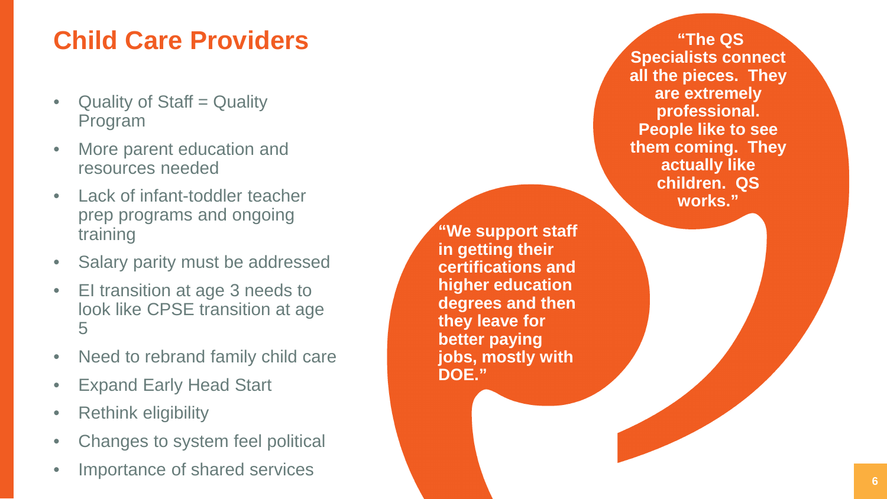#### **Child Care Providers**

- Quality of Staff = Quality Program
- More parent education and resources needed
- Lack of infant-toddler teacher prep programs and ongoing training
- Salary parity must be addressed
- El transition at age 3 needs to<br>look like CPSE transition at age<br>5
- Need to rebrand family child care
- Expand Early Head Start Rethink eligibility
- 
- Changes to system feel political
- Importance of shared services

**"We support staff in getting their certifications and higher education degrees and then they leave for better paying jobs, mostly with DOE."**

**"The QS Specialists connect all the pieces. They are extremely professional. People like to see them coming. They actually like children. QS works."**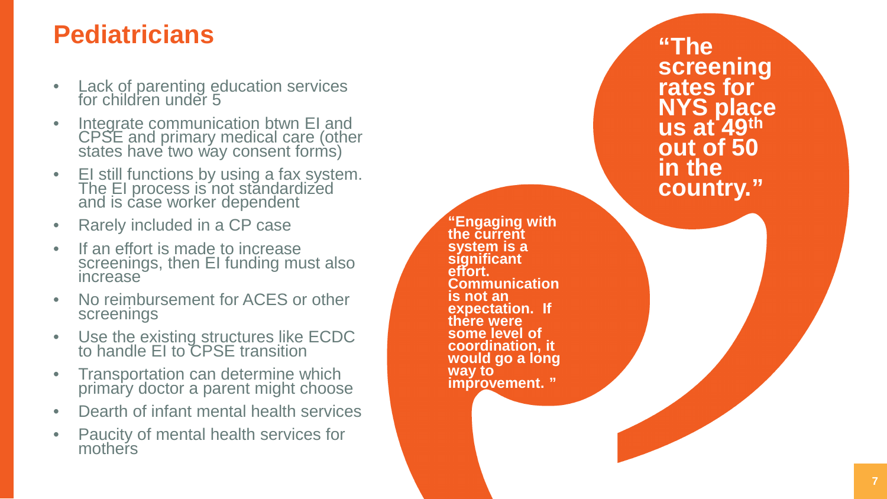#### **Pediatricians**

- Lack of parenting education services for children under 5
- Integrate communication btwn EI and<br>CPSE and primary medical care (other states have two way consent forms)
- EI still functions by using a fax system. The EI process is not standardized and is case worker dependent
- Rarely included in a CP case
- If an effort is made to increase<br>screenings, then EI funding must also increase
- No reimbursement for ACES or other screenings
- Use the existing structures like ECDC to handle EI to CPSE transition
- Transportation can determine which primary doctor a parent might choose
- Dearth of infant mental health services
- Paucity of mental health services for mothers

**"Engaging with the current system is a significant effort. Communication is not an expectation. If there were some level of coordination, it**  would go a long **way to improvement. "**

**"The screening rates for NYS place us at 49th out of 50 in the country."**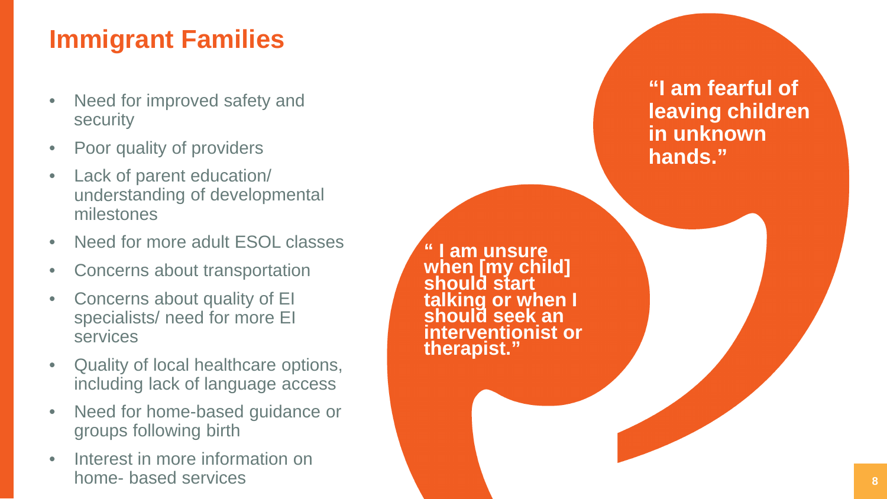#### **Immigrant Families**

- Need for improved safety and<br>security
- Poor quality of providers
- Lack of parent education/ understanding of developmental milestones
- Need for more adult ESOL classes<br>Concerns about transportation
- 
- Concerns about quality of EI specialists/ need for more EI services
- Quality of local healthcare options, including lack of language access
- Need for home-based guidance or groups following birth
- Interest in more information on hom e - based services

**am unsure when [my child] should start talking or when I should seek an interventionist or therapist."**

**"I am fearful of leaving children in unknown hands."**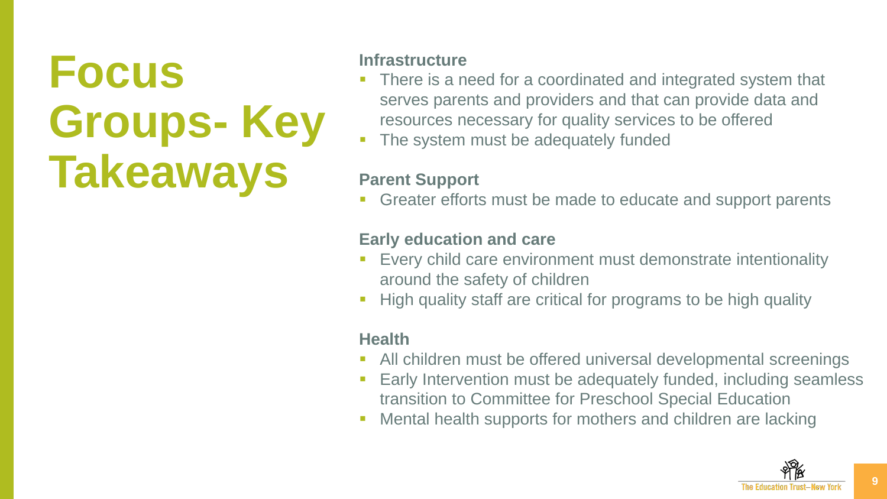### **Focus Groups- Key Takeaways**

#### **Infrastructure**

- There is a need for a coordinated and integrated system that serves parents and providers and that can provide data and resources necessary for quality services to be offered
- The system must be adequately funded

#### **Parent Support**

Greater efforts must be made to educate and support parents

#### **Early education and care**

- Every child care environment must demonstrate intentionality around the safety of children
- High quality staff are critical for programs to be high quality

#### **Health**

- All children must be offered universal developmental screenings
- Early Intervention must be adequately funded, including seamless transition to Committee for Preschool Special Education
- Mental health supports for mothers and children are lacking

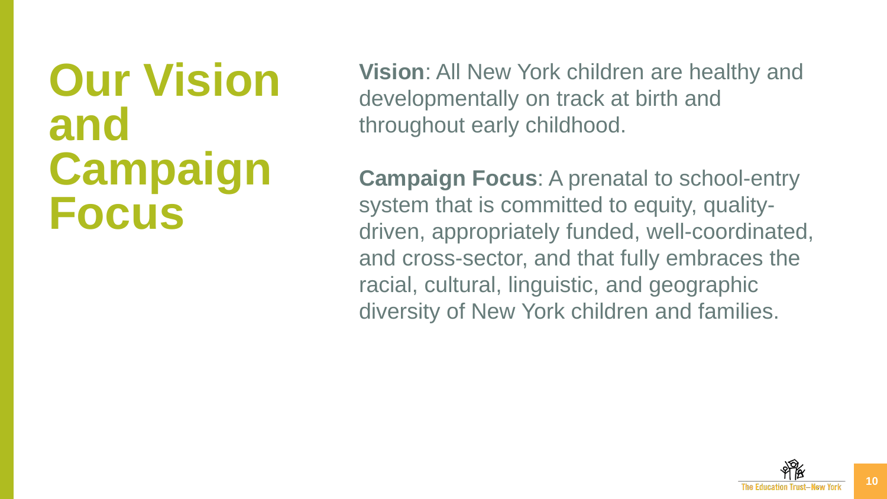#### **Our Vision and Campaign Focus**

**Vision**: All New York children are healthy and developmentally on track at birth and throughout early childhood.

**Campaign Focus**: A prenatal to school-entry system that is committed to equity, qualitydriven, appropriately funded, well-coordinated, and cross-sector, and that fully embraces the racial, cultural, linguistic, and geographic diversity of New York children and families.

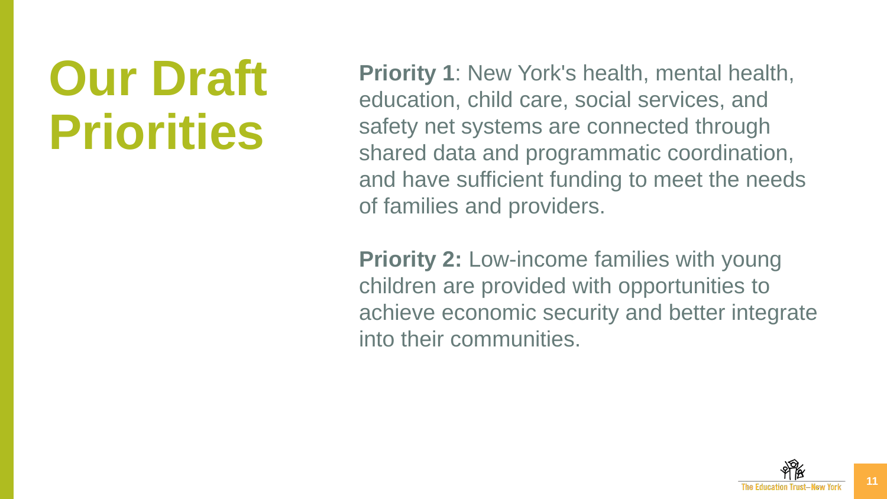### **Our Draft Priorities**

**Priority 1**: New York's health, mental health, education, child care, social services, and safety net systems are connected through shared data and programmatic coordination, and have sufficient funding to meet the needs of families and providers.

**Priority 2:** Low-income families with young children are provided with opportunities to achieve economic security and better integrate into their communities.



**11**